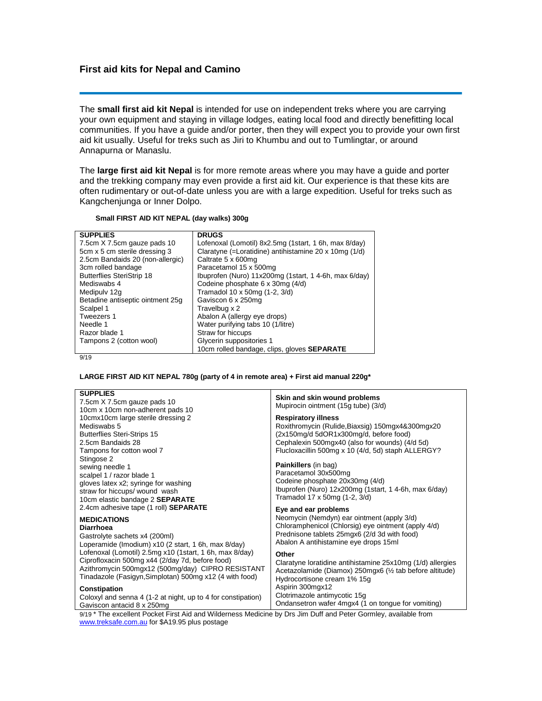## **First aid kits for Nepal and Camino**

The **small first aid kit Nepal** is intended for use on independent treks where you are carrying your own equipment and staying in village lodges, eating local food and directly benefitting local communities. If you have a guide and/or porter, then they will expect you to provide your own first aid kit usually. Useful for treks such as Jiri to Khumbu and out to Tumlingtar, or around Annapurna or Manaslu.

The **large first aid kit Nepal** is for more remote areas where you may have a guide and porter and the trekking company may even provide a first aid kit. Our experience is that these kits are often rudimentary or out-of-date unless you are with a large expedition. Useful for treks such as Kangchenjunga or Inner Dolpo.

## **Small FIRST AID KIT NEPAL (day walks) 300g**

| <b>SUPPLIES</b>                  | <b>DRUGS</b>                                          |  |
|----------------------------------|-------------------------------------------------------|--|
| 7.5cm X 7.5cm gauze pads 10      | Lofenoxal (Lomotil) 8x2.5mg (1start, 1 6h, max 8/day) |  |
| 5cm x 5 cm sterile dressing 3    | Claratyne (=Loratidine) antihistamine 20 x 10mg (1/d) |  |
| 2.5cm Bandaids 20 (non-allergic) | Caltrate 5 x 600mg                                    |  |
| 3cm rolled bandage               | Paracetamol 15 x 500mg                                |  |
| <b>Butterflies SteriStrip 18</b> | Ibuprofen (Nuro) 11x200mg (1start, 14-6h, max 6/day)  |  |
| Mediswabs 4                      | Codeine phosphate 6 x 30mg (4/d)                      |  |
| Medipuly 12g                     | Tramadol 10 x 50mg (1-2, 3/d)                         |  |
| Betadine antiseptic ointment 25g | Gaviscon 6 x 250mg                                    |  |
| Scalpel 1                        | Travelbug x 2                                         |  |
| Tweezers 1                       | Abalon A (allergy eye drops)                          |  |
| Needle 1                         | Water purifying tabs 10 (1/litre)                     |  |
| Razor blade 1                    | Straw for hiccups                                     |  |
| Tampons 2 (cotton wool)          | Glycerin suppositories 1                              |  |
|                                  | 10cm rolled bandage, clips, gloves <b>SEPARATE</b>    |  |

9/19

## **LARGE FIRST AID KIT NEPAL 780g (party of 4 in remote area) + First aid manual 220g\***

| <b>SUPPLIES</b>                                              |                                                            |
|--------------------------------------------------------------|------------------------------------------------------------|
|                                                              | Skin and skin wound problems                               |
| 7.5cm X 7.5cm gauze pads 10                                  | Mupirocin ointment (15g tube) (3/d)                        |
| 10cm x 10cm non-adherent pads 10                             |                                                            |
| 10cmx10cm large sterile dressing 2                           | <b>Respiratory illness</b>                                 |
| Mediswabs 5                                                  | Roxithromycin (Rulide, Biaxsig) 150mgx4&300mgx20           |
| <b>Butterflies Steri-Strips 15</b>                           | (2x150mg/d 5dOR1x300mg/d, before food)                     |
| 2.5cm Bandaids 28                                            | Cephalexin 500mgx40 (also for wounds) (4/d 5d)             |
| Tampons for cotton wool 7                                    | Flucloxacillin 500mg x 10 (4/d, 5d) staph ALLERGY?         |
| Stingose 2                                                   |                                                            |
| sewing needle 1                                              | Painkillers (in bag)                                       |
| scalpel 1 / razor blade 1                                    | Paracetamol 30x500mg                                       |
|                                                              | Codeine phosphate 20x30mg (4/d)                            |
| gloves latex x2; syringe for washing                         | Ibuprofen (Nuro) 12x200mg (1start, 14-6h, max 6/day)       |
| straw for hiccups/ wound wash                                | Tramadol 17 x 50mg (1-2, 3/d)                              |
| 10cm elastic bandage 2 <b>SEPARATE</b>                       |                                                            |
| 2.4cm adhesive tape (1 roll) <b>SEPARATE</b>                 | Eye and ear problems                                       |
| <b>MEDICATIONS</b>                                           | Neomycin (Nemdyn) ear ointment (apply 3/d)                 |
| <b>Diarrhoea</b>                                             | Chloramphenicol (Chlorsig) eye ointment (apply 4/d)        |
|                                                              | Prednisone tablets 25mgx6 (2/d 3d with food)               |
| Gastrolyte sachets x4 (200ml)                                | Abalon A antihistamine eye drops 15ml                      |
| Loperamide (Imodium) x10 (2 start, 1 6h, max 8/day)          |                                                            |
| Lofenoxal (Lomotil) 2.5mg x10 (1start, 1 6h, max 8/day)      | Other                                                      |
| Ciprofloxacin 500mg x44 (2/day 7d, before food)              | Claratyne loratidine antihistamine 25x10mg (1/d) allergies |
| Azithromycin 500mgx12 (500mg/day) CIPRO RESISTANT            | Acetazolamide (Diamox) 250mgx6 (1/2 tab before altitude)   |
| Tinadazole (Fasigyn, Simplotan) 500mg x12 (4 with food)      | Hydrocortisone cream 1% 15g                                |
|                                                              | Aspirin 300mgx12                                           |
| Constipation                                                 | Clotrimazole antimycotic 15q                               |
| Coloxyl and senna 4 (1-2 at night, up to 4 for constipation) |                                                            |
| Gaviscon antacid 8 x 250mg                                   | Ondansetron wafer 4mgx4 (1 on tongue for vomiting)         |

9/19 \* The excellent Pocket First Aid and Wilderness Medicine by Drs Jim Duff and Peter Gormley, available from [www.treksafe.com.au](http://www.treksafe.com.au/) for \$A19.95 plus postage